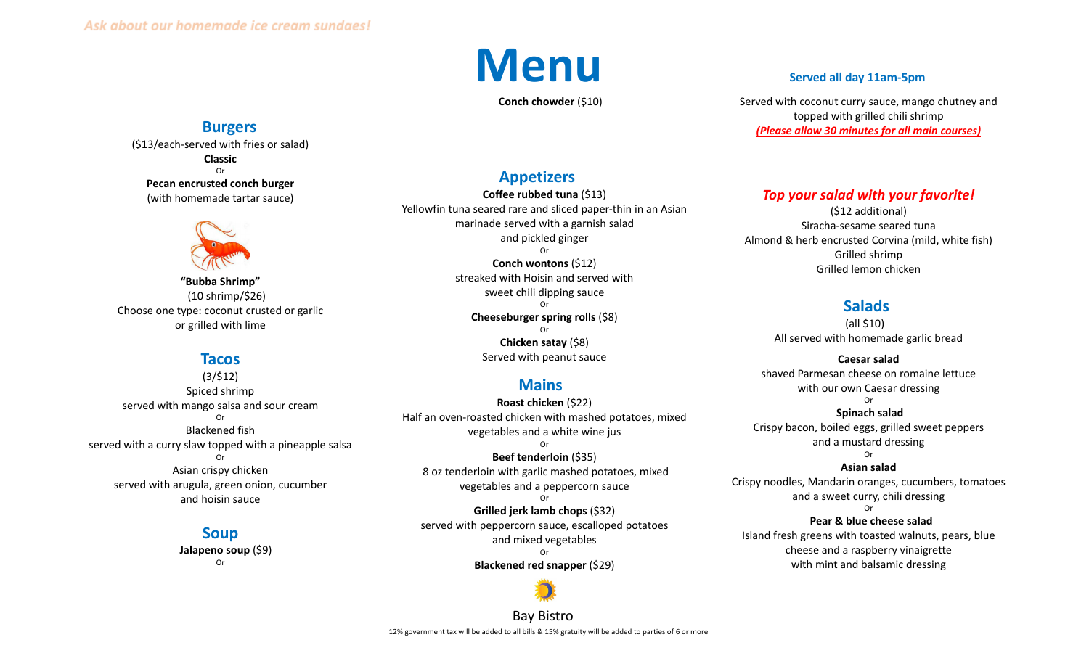

**Conch chowder** (\$10)

# **Burgers**

(\$13/each-served with fries or salad) **Classic** Or **Pecan encrusted conch burger** (with homemade tartar sauce)



**"Bubba Shrimp"** (10 shrimp/\$26) Choose one type: coconut crusted or garlic or grilled with lime

# **Tacos**

(3/\$12) Spiced shrimp served with mango salsa and sour cream Or Blackened fish served with a curry slaw topped with a pineapple salsa Or Asian crispy chicken served with arugula, green onion, cucumber and hoisin sauce

# **Soup**

**Jalapeno soup** (\$9) Or

## **Appetizers**

**Coffee rubbed tuna** (\$13) Yellowfin tuna seared rare and sliced paper-thin in an Asian marinade served with a garnish salad and pickled ginger Or **Conch wontons** (\$12) streaked with Hoisin and served with sweet chili dipping sauce Or **Cheeseburger spring rolls** (\$8) Or **Chicken satay** (\$8) Served with peanut sauce

## **Mains**

**Roast chicken** (\$22) Half an oven-roasted chicken with mashed potatoes, mixed vegetables and a white wine jus Or **Beef tenderloin** (\$35) 8 oz tenderloin with garlic mashed potatoes, mixed vegetables and a peppercorn sauce Or **Grilled jerk lamb chops** (\$32) served with peppercorn sauce, escalloped potatoes and mixed vegetables Or **Blackened red snapper** (\$29)

Served with coconut curry sauce, mango chutney and topped with grilled chili shrimp *(Please allow 30 minutes for all main courses)*

#### *Top your salad with your favorite!*

(\$12 additional) Siracha-sesame seared tuna Almond & herb encrusted Corvina (mild, white fish) Grilled shrimp Grilled lemon chicken

#### **Salads**

(all \$10) All served with homemade garlic bread

**Caesar salad** shaved Parmesan cheese on romaine lettuce with our own Caesar dressing Or

#### **Spinach salad** Crispy bacon, boiled eggs, grilled sweet peppers and a mustard dressing Or

**Asian salad** Crispy noodles, Mandarin oranges, cucumbers, tomatoes and a sweet curry, chili dressing Or

**Pear & blue cheese salad** Island fresh greens with toasted walnuts, pears, blue cheese and a raspberry vinaigrette with mint and balsamic dressing

Bay Bistro 12% government tax will be added to all bills & 15% gratuity will be added to parties of 6 or more